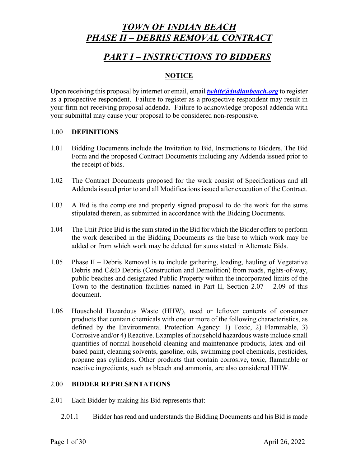# *PART I – INSTRUCTIONS TO BIDDERS*

### **NOTICE**

Upon receiving this proposal by internet or email, email *twhite@indianbeach.org* to register as a prospective respondent. Failure to register as a prospective respondent may result in your firm not receiving proposal addenda. Failure to acknowledge proposal addenda with your submittal may cause your proposal to be considered non-responsive.

#### 1.00 **DEFINITIONS**

- 1.01 Bidding Documents include the Invitation to Bid, Instructions to Bidders, The Bid Form and the proposed Contract Documents including any Addenda issued prior to the receipt of bids.
- 1.02 The Contract Documents proposed for the work consist of Specifications and all Addenda issued prior to and all Modifications issued after execution of the Contract.
- 1.03 A Bid is the complete and properly signed proposal to do the work for the sums stipulated therein, as submitted in accordance with the Bidding Documents.
- 1.04 The Unit Price Bid is the sum stated in the Bid for which the Bidder offers to perform the work described in the Bidding Documents as the base to which work may be added or from which work may be deleted for sums stated in Alternate Bids.
- 1.05 Phase II Debris Removal is to include gathering, loading, hauling of Vegetative Debris and C&D Debris (Construction and Demolition) from roads, rights-of-way, public beaches and designated Public Property within the incorporated limits of the Town to the destination facilities named in Part II, Section  $2.07 - 2.09$  of this document.
- 1.06 Household Hazardous Waste (HHW), used or leftover contents of consumer products that contain chemicals with one or more of the following characteristics, as defined by the Environmental Protection Agency: 1) Toxic, 2) Flammable, 3) Corrosive and/or 4) Reactive. Examples of household hazardous waste include small quantities of normal household cleaning and maintenance products, latex and oilbased paint, cleaning solvents, gasoline, oils, swimming pool chemicals, pesticides, propane gas cylinders. Other products that contain corrosive, toxic, flammable or reactive ingredients, such as bleach and ammonia, are also considered HHW.

### 2.00 **BIDDER REPRESENTATIONS**

- 2.01 Each Bidder by making his Bid represents that:
	- 2.01.1 Bidder has read and understands the Bidding Documents and his Bid is made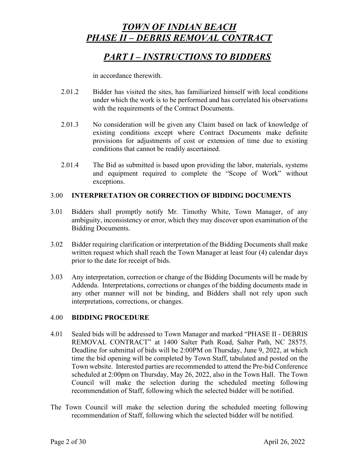# *PART I – INSTRUCTIONS TO BIDDERS*

in accordance therewith.

- 2.01.2 Bidder has visited the sites, has familiarized himself with local conditions under which the work is to be performed and has correlated his observations with the requirements of the Contract Documents.
- 2.01.3 No consideration will be given any Claim based on lack of knowledge of existing conditions except where Contract Documents make definite provisions for adjustments of cost or extension of time due to existing conditions that cannot be readily ascertained.
- 2.01.4 The Bid as submitted is based upon providing the labor, materials, systems and equipment required to complete the "Scope of Work" without exceptions.

### 3.00 **INTERPRETATION OR CORRECTION OF BIDDING DOCUMENTS**

- 3.01 Bidders shall promptly notify Mr. Timothy White, Town Manager, of any ambiguity, inconsistency or error, which they may discover upon examination of the Bidding Documents.
- 3.02 Bidder requiring clarification or interpretation of the Bidding Documents shall make written request which shall reach the Town Manager at least four (4) calendar days prior to the date for receipt of bids.
- 3.03 Any interpretation, correction or change of the Bidding Documents will be made by Addenda. Interpretations, corrections or changes of the bidding documents made in any other manner will not be binding, and Bidders shall not rely upon such interpretations, corrections, or changes.

### 4.00 **BIDDING PROCEDURE**

- 4.01 Sealed bids will be addressed to Town Manager and marked "PHASE II DEBRIS REMOVAL CONTRACT" at 1400 Salter Path Road, Salter Path, NC 28575. Deadline for submittal of bids will be 2:00PM on Thursday, June 9, 2022, at which time the bid opening will be completed by Town Staff, tabulated and posted on the Town website. Interested parties are recommended to attend the Pre-bid Conference scheduled at 2:00pm on Thursday, May 26, 2022, also in the Town Hall. The Town Council will make the selection during the scheduled meeting following recommendation of Staff, following which the selected bidder will be notified.
- The Town Council will make the selection during the scheduled meeting following recommendation of Staff, following which the selected bidder will be notified.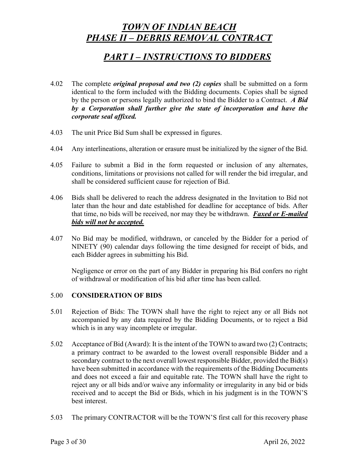## *PART I – INSTRUCTIONS TO BIDDERS*

- 4.02 The complete *original proposal and two (2) copies* shall be submitted on a form identical to the form included with the Bidding documents. Copies shall be signed by the person or persons legally authorized to bind the Bidder to a Contract. *A Bid by a Corporation shall further give the state of incorporation and have the corporate seal affixed.*
- 4.03 The unit Price Bid Sum shall be expressed in figures.
- 4.04 Any interlineations, alteration or erasure must be initialized by the signer of the Bid.
- 4.05 Failure to submit a Bid in the form requested or inclusion of any alternates, conditions, limitations or provisions not called for will render the bid irregular, and shall be considered sufficient cause for rejection of Bid.
- 4.06 Bids shall be delivered to reach the address designated in the Invitation to Bid not later than the hour and date established for deadline for acceptance of bids. After that time, no bids will be received, nor may they be withdrawn. *Faxed or E-mailed bids will not be accepted.*
- 4.07 No Bid may be modified, withdrawn, or canceled by the Bidder for a period of NINETY (90) calendar days following the time designed for receipt of bids, and each Bidder agrees in submitting his Bid.

Negligence or error on the part of any Bidder in preparing his Bid confers no right of withdrawal or modification of his bid after time has been called.

### 5.00 **CONSIDERATION OF BIDS**

- 5.01 Rejection of Bids: The TOWN shall have the right to reject any or all Bids not accompanied by any data required by the Bidding Documents, or to reject a Bid which is in any way incomplete or irregular.
- 5.02 Acceptance of Bid (Award): It is the intent of the TOWN to award two (2) Contracts; a primary contract to be awarded to the lowest overall responsible Bidder and a secondary contract to the next overall lowest responsible Bidder, provided the Bid(s) have been submitted in accordance with the requirements of the Bidding Documents and does not exceed a fair and equitable rate. The TOWN shall have the right to reject any or all bids and/or waive any informality or irregularity in any bid or bids received and to accept the Bid or Bids, which in his judgment is in the TOWN'S best interest.
- 5.03 The primary CONTRACTOR will be the TOWN'S first call for this recovery phase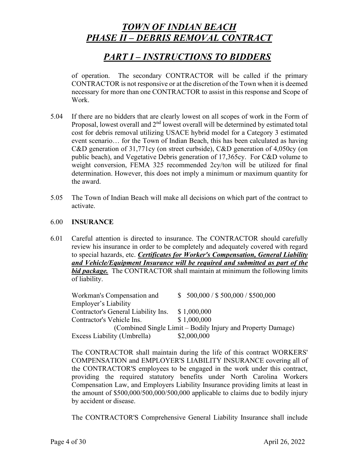# *PART I – INSTRUCTIONS TO BIDDERS*

of operation. The secondary CONTRACTOR will be called if the primary CONTRACTOR is not responsive or at the discretion of the Town when it is deemed necessary for more than one CONTRACTOR to assist in this response and Scope of Work.

- 5.04 If there are no bidders that are clearly lowest on all scopes of work in the Form of Proposal, lowest overall and 2<sup>nd</sup> lowest overall will be determined by estimated total cost for debris removal utilizing USACE hybrid model for a Category 3 estimated event scenario… for the Town of Indian Beach, this has been calculated as having C&D generation of 31,771cy (on street curbside), C&D generation of 4,050cy (on public beach), and Vegetative Debris generation of 17,365cy. For C&D volume to weight conversion, FEMA 325 recommended 2cy/ton will be utilized for final determination. However, this does not imply a minimum or maximum quantity for the award.
- 5.05 The Town of Indian Beach will make all decisions on which part of the contract to activate.

#### 6.00 **INSURANCE**

6.01 Careful attention is directed to insurance. The CONTRACTOR should carefully review his insurance in order to be completely and adequately covered with regard to special hazards, etc. *Certificates for Worker's Compensation, General Liability and Vehicle/Equipment Insurance will be required and submitted as part of the bid package.* The CONTRACTOR shall maintain at minimum the following limits of liability.

Workman's Compensation and \$ 500,000 / \$ 500,000 / \$500,000 Employer's Liability Contractor's General Liability Ins. \$ 1,000,000 Contractor's Vehicle Ins. \$ 1,000,000 (Combined Single Limit – Bodily Injury and Property Damage) Excess Liability (Umbrella) \$2,000,000

The CONTRACTOR shall maintain during the life of this contract WORKERS' COMPENSATION and EMPLOYER'S LIABILITY INSURANCE covering all of the CONTRACTOR'S employees to be engaged in the work under this contract, providing the required statutory benefits under North Carolina Workers Compensation Law, and Employers Liability Insurance providing limits at least in the amount of \$500,000/500,000/500,000 applicable to claims due to bodily injury by accident or disease.

The CONTRACTOR'S Comprehensive General Liability Insurance shall include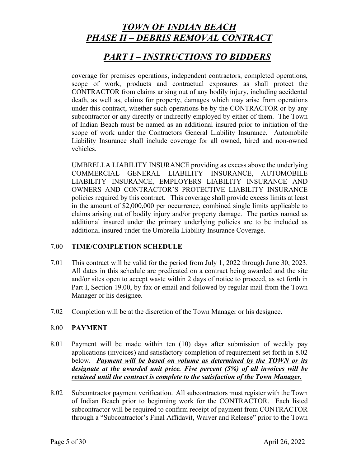### *PART I – INSTRUCTIONS TO BIDDERS*

coverage for premises operations, independent contractors, completed operations, scope of work, products and contractual exposures as shall protect the CONTRACTOR from claims arising out of any bodily injury, including accidental death, as well as, claims for property, damages which may arise from operations under this contract, whether such operations be by the CONTRACTOR or by any subcontractor or any directly or indirectly employed by either of them. The Town of Indian Beach must be named as an additional insured prior to initiation of the scope of work under the Contractors General Liability Insurance. Automobile Liability Insurance shall include coverage for all owned, hired and non-owned vehicles.

UMBRELLA LIABILITY INSURANCE providing as excess above the underlying COMMERCIAL GENERAL LIABILITY INSURANCE, AUTOMOBILE LIABILITY INSURANCE, EMPLOYERS LIABILITY INSURANCE AND OWNERS AND CONTRACTOR'S PROTECTIVE LIABILITY INSURANCE policies required by this contract. This coverage shall provide excess limits at least in the amount of \$2,000,000 per occurrence, combined single limits applicable to claims arising out of bodily injury and/or property damage. The parties named as additional insured under the primary underlying policies are to be included as additional insured under the Umbrella Liability Insurance Coverage.

### 7.00 **TIME/COMPLETION SCHEDULE**

- 7.01 This contract will be valid for the period from July 1, 2022 through June 30, 2023. All dates in this schedule are predicated on a contract being awarded and the site and/or sites open to accept waste within 2 days of notice to proceed, as set forth in Part I, Section 19.00, by fax or email and followed by regular mail from the Town Manager or his designee.
- 7.02 Completion will be at the discretion of the Town Manager or his designee.

### 8.00 **PAYMENT**

- 8.01 Payment will be made within ten (10) days after submission of weekly pay applications (invoices) and satisfactory completion of requirement set forth in 8.02 below. *Payment will be based on volume as determined by the TOWN or its designate at the awarded unit price. Five percent (5%) of all invoices will be retained until the contract is complete to the satisfaction of the Town Manager.*
- 8.02 Subcontractor payment verification. All subcontractors must register with the Town of Indian Beach prior to beginning work for the CONTRACTOR. Each listed subcontractor will be required to confirm receipt of payment from CONTRACTOR through a "Subcontractor's Final Affidavit, Waiver and Release" prior to the Town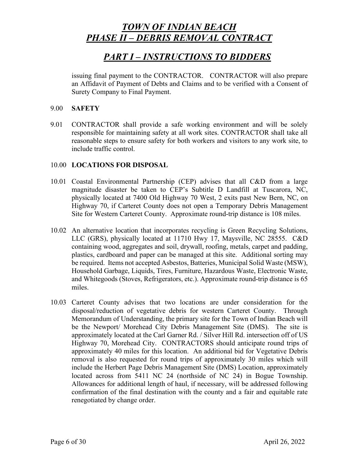## *PART I – INSTRUCTIONS TO BIDDERS*

issuing final payment to the CONTRACTOR. CONTRACTOR will also prepare an Affidavit of Payment of Debts and Claims and to be verified with a Consent of Surety Company to Final Payment.

### 9.00 **SAFETY**

9.01 CONTRACTOR shall provide a safe working environment and will be solely responsible for maintaining safety at all work sites. CONTRACTOR shall take all reasonable steps to ensure safety for both workers and visitors to any work site, to include traffic control.

### 10.00 **LOCATIONS FOR DISPOSAL**

- 10.01 Coastal Environmental Partnership (CEP) advises that all C&D from a large magnitude disaster be taken to CEP's Subtitle D Landfill at Tuscarora, NC, physically located at 7400 Old Highway 70 West, 2 exits past New Bern, NC, on Highway 70, if Carteret County does not open a Temporary Debris Management Site for Western Carteret County. Approximate round-trip distance is 108 miles.
- 10.02 An alternative location that incorporates recycling is Green Recycling Solutions, LLC (GRS), physically located at 11710 Hwy 17, Maysville, NC 28555. C&D containing wood, aggregates and soil, drywall, roofing, metals, carpet and padding, plastics, cardboard and paper can be managed at this site. Additional sorting may be required. Items not accepted Asbestos, Batteries, Municipal Solid Waste (MSW), Household Garbage, Liquids, Tires, Furniture, Hazardous Waste, Electronic Waste, and Whitegoods (Stoves, Refrigerators, etc.). Approximate round-trip distance is 65 miles.
- 10.03 Carteret County advises that two locations are under consideration for the disposal/reduction of vegetative debris for western Carteret County. Through Memorandum of Understanding, the primary site for the Town of Indian Beach will be the Newport/ Morehead City Debris Management Site (DMS). The site is approximately located at the Carl Garner Rd. / Silver Hill Rd. intersection off of US Highway 70, Morehead City. CONTRACTORS should anticipate round trips of approximately 40 miles for this location. An additional bid for Vegetative Debris removal is also requested for round trips of approximately 30 miles which will include the Herbert Page Debris Management Site (DMS) Location, approximately located across from 5411 NC 24 (northside of NC 24) in Bogue Township. Allowances for additional length of haul, if necessary, will be addressed following confirmation of the final destination with the county and a fair and equitable rate renegotiated by change order.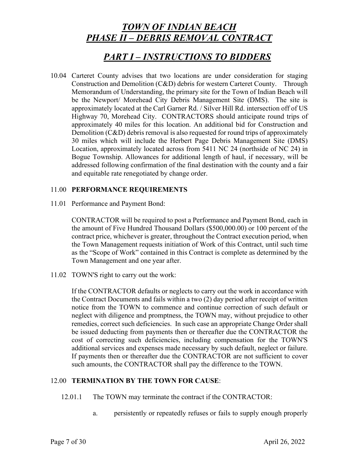### *PART I – INSTRUCTIONS TO BIDDERS*

10.04 Carteret County advises that two locations are under consideration for staging Construction and Demolition (C&D) debris for western Carteret County. Through Memorandum of Understanding, the primary site for the Town of Indian Beach will be the Newport/ Morehead City Debris Management Site (DMS). The site is approximately located at the Carl Garner Rd. / Silver Hill Rd. intersection off of US Highway 70, Morehead City. CONTRACTORS should anticipate round trips of approximately 40 miles for this location. An additional bid for Construction and Demolition (C&D) debris removal is also requested for round trips of approximately 30 miles which will include the Herbert Page Debris Management Site (DMS) Location, approximately located across from 5411 NC 24 (northside of NC 24) in Bogue Township. Allowances for additional length of haul, if necessary, will be addressed following confirmation of the final destination with the county and a fair and equitable rate renegotiated by change order.

### 11.00 **PERFORMANCE REQUIREMENTS**

11.01 Performance and Payment Bond:

CONTRACTOR will be required to post a Performance and Payment Bond, each in the amount of Five Hundred Thousand Dollars (\$500,000.00) or 100 percent of the contract price, whichever is greater, throughout the Contract execution period, when the Town Management requests initiation of Work of this Contract, until such time as the "Scope of Work" contained in this Contract is complete as determined by the Town Management and one year after.

11.02 TOWN'S right to carry out the work:

If the CONTRACTOR defaults or neglects to carry out the work in accordance with the Contract Documents and fails within a two (2) day period after receipt of written notice from the TOWN to commence and continue correction of such default or neglect with diligence and promptness, the TOWN may, without prejudice to other remedies, correct such deficiencies. In such case an appropriate Change Order shall be issued deducting from payments then or thereafter due the CONTRACTOR the cost of correcting such deficiencies, including compensation for the TOWN'S additional services and expenses made necessary by such default, neglect or failure. If payments then or thereafter due the CONTRACTOR are not sufficient to cover such amounts, the CONTRACTOR shall pay the difference to the TOWN.

#### 12.00 **TERMINATION BY THE TOWN FOR CAUSE**:

- 12.01.1 The TOWN may terminate the contract if the CONTRACTOR:
	- a. persistently or repeatedly refuses or fails to supply enough properly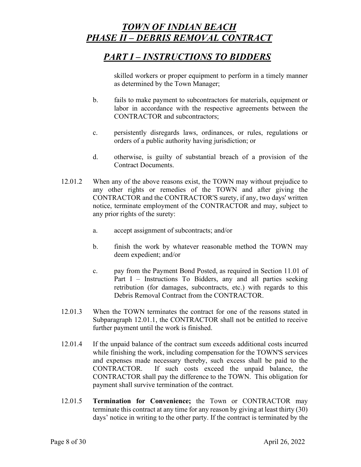# *PART I – INSTRUCTIONS TO BIDDERS*

skilled workers or proper equipment to perform in a timely manner as determined by the Town Manager;

- b. fails to make payment to subcontractors for materials, equipment or labor in accordance with the respective agreements between the CONTRACTOR and subcontractors;
- c. persistently disregards laws, ordinances, or rules, regulations or orders of a public authority having jurisdiction; or
- d. otherwise, is guilty of substantial breach of a provision of the Contract Documents.
- 12.01.2 When any of the above reasons exist, the TOWN may without prejudice to any other rights or remedies of the TOWN and after giving the CONTRACTOR and the CONTRACTOR'S surety, if any, two days' written notice, terminate employment of the CONTRACTOR and may, subject to any prior rights of the surety:
	- a. accept assignment of subcontracts; and/or
	- b. finish the work by whatever reasonable method the TOWN may deem expedient; and/or
	- c. pay from the Payment Bond Posted, as required in Section 11.01 of Part I – Instructions To Bidders, any and all parties seeking retribution (for damages, subcontracts, etc.) with regards to this Debris Removal Contract from the CONTRACTOR.
- 12.01.3 When the TOWN terminates the contract for one of the reasons stated in Subparagraph 12.01.1, the CONTRACTOR shall not be entitled to receive further payment until the work is finished.
- 12.01.4 If the unpaid balance of the contract sum exceeds additional costs incurred while finishing the work, including compensation for the TOWN'S services and expenses made necessary thereby, such excess shall be paid to the CONTRACTOR. If such costs exceed the unpaid balance, the CONTRACTOR shall pay the difference to the TOWN. This obligation for payment shall survive termination of the contract.
- 12.01.5 **Termination for Convenience;** the Town or CONTRACTOR may terminate this contract at any time for any reason by giving at least thirty (30) days' notice in writing to the other party. If the contract is terminated by the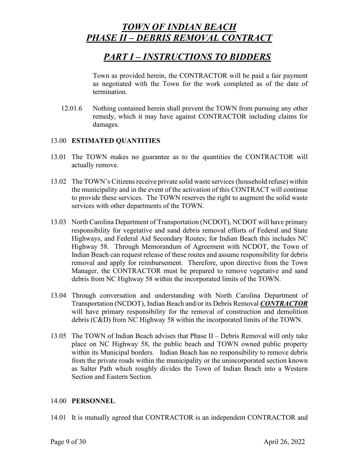## *PART I – INSTRUCTIONS TO BIDDERS*

Town as provided herein, the CONTRACTOR will be paid a fair payment as negotiated with the Town for the work completed as of the date of termination.

12.01.6 Nothing contained herein shall prevent the TOWN from pursuing any other remedy, which it may have against CONTRACTOR including claims for damages.

### 13.00 **ESTIMATED QUANTITIES**

- 13.01 The TOWN makes no guarantee as to the quantities the CONTRACTOR will actually remove.
- 13.02 The TOWN's Citizens receive private solid waste services (household refuse) within the municipality and in the event of the activation of this CONTRACT will continue to provide these services. The TOWN reserves the right to augment the solid waste services with other departments of the TOWN.
- 13.03 North Carolina Department of Transportation (NCDOT), NCDOT will have primary responsibility for vegetative and sand debris removal efforts of Federal and State Highways, and Federal Aid Secondary Routes; for Indian Beach this includes NC Highway 58. Through Memorandum of Agreement with NCDOT, the Town of Indian Beach can request release of these routes and assume responsibility for debris removal and apply for reimbursement. Therefore, upon directive from the Town Manager, the CONTRACTOR must be prepared to remove vegetative and sand debris from NC Highway 58 within the incorporated limits of the TOWN.
- 13.04 Through conversation and understanding with North Carolina Department of Transportation (NCDOT), Indian Beach and/or its Debris Removal *CONTRACTOR* will have primary responsibility for the removal of construction and demolition debris (C&D) from NC Highway 58 within the incorporated limits of the TOWN.
- 13.05 The TOWN of Indian Beach advises that Phase II Debris Removal will only take place on NC Highway 58, the public beach and TOWN owned public property within its Municipal borders. Indian Beach has no responsibility to remove debris from the private roads within the municipality or the unincorporated section known as Salter Path which roughly divides the Town of Indian Beach into a Western Section and Eastern Section.

### 14.00 **PERSONNEL**

14.01 It is mutually agreed that CONTRACTOR is an independent CONTRACTOR and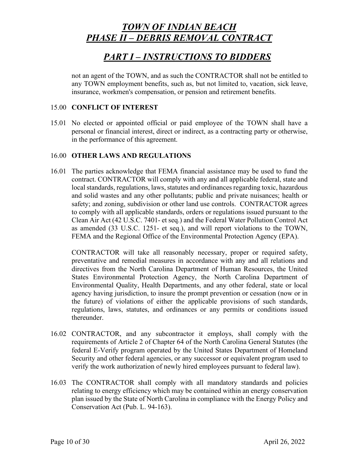# *PART I – INSTRUCTIONS TO BIDDERS*

not an agent of the TOWN, and as such the CONTRACTOR shall not be entitled to any TOWN employment benefits, such as, but not limited to, vacation, sick leave, insurance, workmen's compensation, or pension and retirement benefits.

### 15.00 **CONFLICT OF INTEREST**

15.01 No elected or appointed official or paid employee of the TOWN shall have a personal or financial interest, direct or indirect, as a contracting party or otherwise, in the performance of this agreement.

### 16.00 **OTHER LAWS AND REGULATIONS**

16.01 The parties acknowledge that FEMA financial assistance may be used to fund the contract. CONTRACTOR will comply with any and all applicable federal, state and local standards, regulations, laws, statutes and ordinances regarding toxic, hazardous and solid wastes and any other pollutants; public and private nuisances; health or safety; and zoning, subdivision or other land use controls. CONTRACTOR agrees to comply with all applicable standards, orders or regulations issued pursuant to the Clean Air Act (42 U.S.C. 7401- et seq.) and the Federal Water Pollution Control Act as amended (33 U.S.C. 1251- et seq.), and will report violations to the TOWN, FEMA and the Regional Office of the Environmental Protection Agency (EPA).

CONTRACTOR will take all reasonably necessary, proper or required safety, preventative and remedial measures in accordance with any and all relations and directives from the North Carolina Department of Human Resources, the United States Environmental Protection Agency, the North Carolina Department of Environmental Quality, Health Departments, and any other federal, state or local agency having jurisdiction, to insure the prompt prevention or cessation (now or in the future) of violations of either the applicable provisions of such standards, regulations, laws, statutes, and ordinances or any permits or conditions issued thereunder.

- 16.02 CONTRACTOR, and any subcontractor it employs, shall comply with the requirements of Article 2 of Chapter 64 of the North Carolina General Statutes (the federal E-Verify program operated by the United States Department of Homeland Security and other federal agencies, or any successor or equivalent program used to verify the work authorization of newly hired employees pursuant to federal law).
- 16.03 The CONTRACTOR shall comply with all mandatory standards and policies relating to energy efficiency which may be contained within an energy conservation plan issued by the State of North Carolina in compliance with the Energy Policy and Conservation Act (Pub. L. 94-163).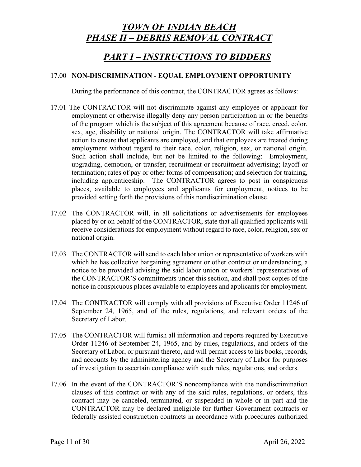# *PART I – INSTRUCTIONS TO BIDDERS*

### 17.00 **NON-DISCRIMINATION - EQUAL EMPLOYMENT OPPORTUNITY**

During the performance of this contract, the CONTRACTOR agrees as follows:

- 17.01 The CONTRACTOR will not discriminate against any employee or applicant for employment or otherwise illegally deny any person participation in or the benefits of the program which is the subject of this agreement because of race, creed, color, sex, age, disability or national origin. The CONTRACTOR will take affirmative action to ensure that applicants are employed, and that employees are treated during employment without regard to their race, color, religion, sex, or national origin. Such action shall include, but not be limited to the following: Employment, upgrading, demotion, or transfer; recruitment or recruitment advertising; layoff or termination; rates of pay or other forms of compensation; and selection for training, including apprenticeship. The CONTRACTOR agrees to post in conspicuous places, available to employees and applicants for employment, notices to be provided setting forth the provisions of this nondiscrimination clause.
- 17.02 The CONTRACTOR will, in all solicitations or advertisements for employees placed by or on behalf of the CONTRACTOR, state that all qualified applicants will receive considerations for employment without regard to race, color, religion, sex or national origin.
- 17.03 The CONTRACTOR will send to each labor union or representative of workers with which he has collective bargaining agreement or other contract or understanding, a notice to be provided advising the said labor union or workers' representatives of the CONTRACTOR'S commitments under this section, and shall post copies of the notice in conspicuous places available to employees and applicants for employment.
- 17.04 The CONTRACTOR will comply with all provisions of Executive Order 11246 of September 24, 1965, and of the rules, regulations, and relevant orders of the Secretary of Labor.
- 17.05 The CONTRACTOR will furnish all information and reports required by Executive Order 11246 of September 24, 1965, and by rules, regulations, and orders of the Secretary of Labor, or pursuant thereto, and will permit access to his books, records, and accounts by the administering agency and the Secretary of Labor for purposes of investigation to ascertain compliance with such rules, regulations, and orders.
- 17.06 In the event of the CONTRACTOR'S noncompliance with the nondiscrimination clauses of this contract or with any of the said rules, regulations, or orders, this contract may be canceled, terminated, or suspended in whole or in part and the CONTRACTOR may be declared ineligible for further Government contracts or federally assisted construction contracts in accordance with procedures authorized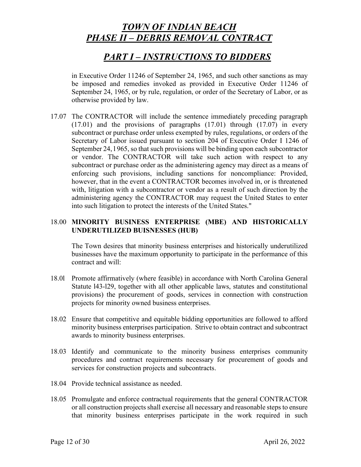## *PART I – INSTRUCTIONS TO BIDDERS*

in Executive Order 11246 of September 24, 1965, and such other sanctions as may be imposed and remedies invoked as provided in Executive Order 11246 of September 24, 1965, or by rule, regulation, or order of the Secretary of Labor, or as otherwise provided by law.

17.07 The CONTRACTOR will include the sentence immediately preceding paragraph  $(17.01)$  and the provisions of paragraphs  $(17.01)$  through  $(17.07)$  in every subcontract or purchase order unless exempted by rules, regulations, or orders of the Secretary of Labor issued pursuant to section 204 of Executive Order I 1246 of September 24, l 965, so that such provisions will be binding upon each subcontractor or vendor. The CONTRACTOR will take such action with respect to any subcontract or purchase order as the administering agency may direct as a means of enforcing such provisions, including sanctions for noncompliance: Provided, however, that in the event a CONTRACTOR becomes involved in, or is threatened with, litigation with a subcontractor or vendor as a result of such direction by the administering agency the CONTRACTOR may request the United States to enter into such litigation to protect the interests of the United States."

### 18.00 **MINORITY BUSINESS ENTERPRISE (MBE) AND HISTORICALLY UNDERUTILIZED BUISNESSES (HUB)**

The Town desires that minority business enterprises and historically underutilized businesses have the maximum opportunity to participate in the performance of this contract and will:

- 18.0l Promote affirmatively (where feasible) in accordance with North Carolina General Statute l43-l29, together with all other applicable laws, statutes and constitutional provisions) the procurement of goods, services in connection with construction projects for minority owned business enterprises.
- 18.02 Ensure that competitive and equitable bidding opportunities are followed to afford minority business enterprises participation. Strive to obtain contract and subcontract awards to minority business enterprises.
- 18.03 Identify and communicate to the minority business enterprises community procedures and contract requirements necessary for procurement of goods and services for construction projects and subcontracts.
- 18.04 Provide technical assistance as needed.
- 18.05 Promulgate and enforce contractual requirements that the general CONTRACTOR or all construction projects shall exercise all necessary and reasonable steps to ensure that minority business enterprises participate in the work required in such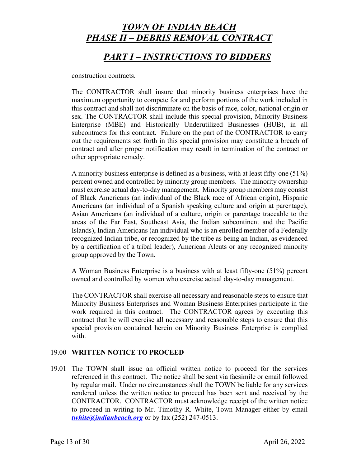## *PART I – INSTRUCTIONS TO BIDDERS*

construction contracts.

The CONTRACTOR shall insure that minority business enterprises have the maximum opportunity to compete for and perform portions of the work included in this contract and shall not discriminate on the basis of race, color, national origin or sex. The CONTRACTOR shall include this special provision, Minority Business Enterprise (MBE) and Historically Underutilized Businesses (HUB), in all subcontracts for this contract. Failure on the part of the CONTRACTOR to carry out the requirements set forth in this special provision may constitute a breach of contract and after proper notification may result in termination of the contract or other appropriate remedy.

A minority business enterprise is defined as a business, with at least fifty-one (51%) percent owned and controlled by minority group members. The minority ownership must exercise actual day-to-day management. Minority group members may consist of Black Americans (an individual of the Black race of African origin), Hispanic Americans (an individual of a Spanish speaking culture and origin at parentage), Asian Americans (an individual of a culture, origin or parentage traceable to the areas of the Far East, Southeast Asia, the Indian subcontinent and the Pacific Islands), Indian Americans (an individual who is an enrolled member of a Federally recognized Indian tribe, or recognized by the tribe as being an Indian, as evidenced by a certification of a tribal leader), American Aleuts or any recognized minority group approved by the Town.

A Woman Business Enterprise is a business with at least fifty-one (51%) percent owned and controlled by women who exercise actual day-to-day management.

The CONTRACTOR shall exercise all necessary and reasonable steps to ensure that Minority Business Enterprises and Woman Business Enterprises participate in the work required in this contract. The CONTRACTOR agrees by executing this contract that he will exercise all necessary and reasonable steps to ensure that this special provision contained herein on Minority Business Enterprise is complied with.

#### 19.00 **WRITTEN NOTICE TO PROCEED**

19.01 The TOWN shall issue an official written notice to proceed for the services referenced in this contract. The notice shall be sent via facsimile or email followed by regular mail. Under no circumstances shall the TOWN be liable for any services rendered unless the written notice to proceed has been sent and received by the CONTRACTOR. CONTRACTOR must acknowledge receipt of the written notice to proceed in writing to Mr. Timothy R. White, Town Manager either by email *twhite@indianbeach.org* or by fax (252) 247-0513.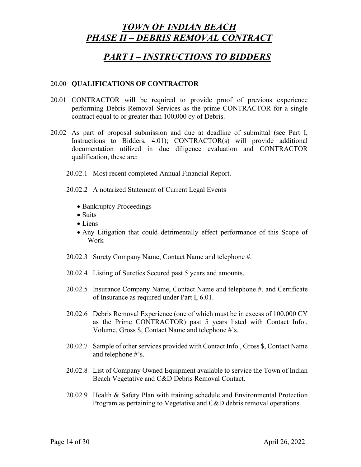### *PART I – INSTRUCTIONS TO BIDDERS*

#### 20.00 **QUALIFICATIONS OF CONTRACTOR**

- 20.01 CONTRACTOR will be required to provide proof of previous experience performing Debris Removal Services as the prime CONTRACTOR for a single contract equal to or greater than 100,000 cy of Debris.
- 20.02 As part of proposal submission and due at deadline of submittal (see Part I, Instructions to Bidders, 4.01); CONTRACTOR(s) will provide additional documentation utilized in due diligence evaluation and CONTRACTOR qualification, these are:
	- 20.02.1 Most recent completed Annual Financial Report.
	- 20.02.2 A notarized Statement of Current Legal Events
		- Bankruptcy Proceedings
		- Suits
		- Liens
		- Any Litigation that could detrimentally effect performance of this Scope of Work
	- 20.02.3 Surety Company Name, Contact Name and telephone #.
	- 20.02.4 Listing of Sureties Secured past 5 years and amounts.
	- 20.02.5 Insurance Company Name, Contact Name and telephone #, and Certificate of Insurance as required under Part I, 6.01.
	- 20.02.6 Debris Removal Experience (one of which must be in excess of 100,000 CY as the Prime CONTRACTOR) past 5 years listed with Contact Info., Volume, Gross \$, Contact Name and telephone #'s.
	- 20.02.7 Sample of other services provided with Contact Info., Gross \$, Contact Name and telephone #'s.
	- 20.02.8 List of Company Owned Equipment available to service the Town of Indian Beach Vegetative and C&D Debris Removal Contact.
	- 20.02.9 Health & Safety Plan with training schedule and Environmental Protection Program as pertaining to Vegetative and C&D debris removal operations.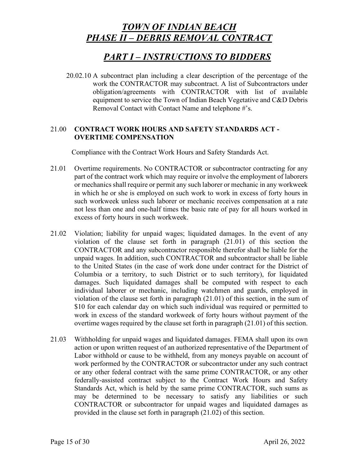## *PART I – INSTRUCTIONS TO BIDDERS*

20.02.10 A subcontract plan including a clear description of the percentage of the work the CONTRACTOR may subcontract. A list of Subcontractors under obligation/agreements with CONTRACTOR with list of available equipment to service the Town of Indian Beach Vegetative and C&D Debris Removal Contact with Contact Name and telephone #'s.

### 21.00 **CONTRACT WORK HOURS AND SAFETY STANDARDS ACT - OVERTIME COMPENSATION**

Compliance with the Contract Work Hours and Safety Standards Act.

- 21.01 Overtime requirements. No CONTRACTOR or subcontractor contracting for any part of the contract work which may require or involve the employment of laborers or mechanics shall require or permit any such laborer or mechanic in any workweek in which he or she is employed on such work to work in excess of forty hours in such workweek unless such laborer or mechanic receives compensation at a rate not less than one and one-half times the basic rate of pay for all hours worked in excess of forty hours in such workweek.
- 21.02 Violation; liability for unpaid wages; liquidated damages. In the event of any violation of the clause set forth in paragraph (21.01) of this section the CONTRACTOR and any subcontractor responsible therefor shall be liable for the unpaid wages. In addition, such CONTRACTOR and subcontractor shall be liable to the United States (in the case of work done under contract for the District of Columbia or a territory, to such District or to such territory), for liquidated damages. Such liquidated damages shall be computed with respect to each individual laborer or mechanic, including watchmen and guards, employed in violation of the clause set forth in paragraph (21.01) of this section, in the sum of \$10 for each calendar day on which such individual was required or permitted to work in excess of the standard workweek of forty hours without payment of the overtime wages required by the clause set forth in paragraph (21.01) of this section.
- 21.03 Withholding for unpaid wages and liquidated damages. FEMA shall upon its own action or upon written request of an authorized representative of the Department of Labor withhold or cause to be withheld, from any moneys payable on account of work performed by the CONTRACTOR or subcontractor under any such contract or any other federal contract with the same prime CONTRACTOR, or any other federally-assisted contract subject to the Contract Work Hours and Safety Standards Act, which is held by the same prime CONTRACTOR, such sums as may be determined to be necessary to satisfy any liabilities or such CONTRACTOR or subcontractor for unpaid wages and liquidated damages as provided in the clause set forth in paragraph (21.02) of this section.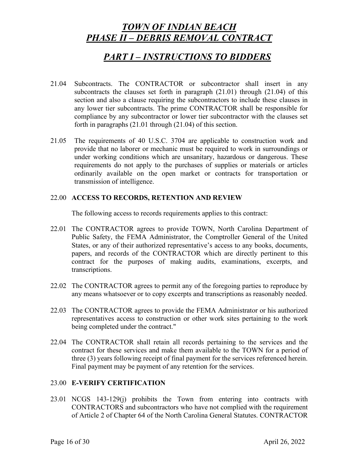### *PART I – INSTRUCTIONS TO BIDDERS*

- 21.04 Subcontracts. The CONTRACTOR or subcontractor shall insert in any subcontracts the clauses set forth in paragraph (21.01) through (21.04) of this section and also a clause requiring the subcontractors to include these clauses in any lower tier subcontracts. The prime CONTRACTOR shall be responsible for compliance by any subcontractor or lower tier subcontractor with the clauses set forth in paragraphs (21.01 through (21.04) of this section.
- 21.05 The requirements of 40 U.S.C. 3704 are applicable to construction work and provide that no laborer or mechanic must be required to work in surroundings or under working conditions which are unsanitary, hazardous or dangerous. These requirements do not apply to the purchases of supplies or materials or articles ordinarily available on the open market or contracts for transportation or transmission of intelligence.

#### 22.00 **ACCESS TO RECORDS, RETENTION AND REVIEW**

The following access to records requirements applies to this contract:

- 22.01 The CONTRACTOR agrees to provide TOWN, North Carolina Department of Public Safety, the FEMA Administrator, the Comptroller General of the United States, or any of their authorized representative's access to any books, documents, papers, and records of the CONTRACTOR which are directly pertinent to this contract for the purposes of making audits, examinations, excerpts, and transcriptions.
- 22.02 The CONTRACTOR agrees to permit any of the foregoing parties to reproduce by any means whatsoever or to copy excerpts and transcriptions as reasonably needed.
- 22.03 The CONTRACTOR agrees to provide the FEMA Administrator or his authorized representatives access to construction or other work sites pertaining to the work being completed under the contract."
- 22.04 The CONTRACTOR shall retain all records pertaining to the services and the contract for these services and make them available to the TOWN for a period of three (3) years following receipt of final payment for the services referenced herein. Final payment may be payment of any retention for the services.

### 23.00 **E-VERIFY CERTIFICATION**

23.01 NCGS 143-129(j) prohibits the Town from entering into contracts with CONTRACTORS and subcontractors who have not complied with the requirement of Article 2 of Chapter 64 of the North Carolina General Statutes. CONTRACTOR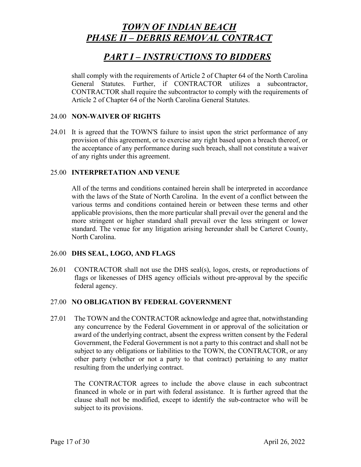## *PART I – INSTRUCTIONS TO BIDDERS*

shall comply with the requirements of Article 2 of Chapter 64 of the North Carolina General Statutes. Further, if CONTRACTOR utilizes a subcontractor, CONTRACTOR shall require the subcontractor to comply with the requirements of Article 2 of Chapter 64 of the North Carolina General Statutes.

#### 24.00 **NON-WAIVER OF RIGHTS**

24.01 It is agreed that the TOWN'S failure to insist upon the strict performance of any provision of this agreement, or to exercise any right based upon a breach thereof, or the acceptance of any performance during such breach, shall not constitute a waiver of any rights under this agreement.

#### 25.00 **INTERPRETATION AND VENUE**

All of the terms and conditions contained herein shall be interpreted in accordance with the laws of the State of North Carolina. In the event of a conflict between the various terms and conditions contained herein or between these terms and other applicable provisions, then the more particular shall prevail over the general and the more stringent or higher standard shall prevail over the less stringent or lower standard. The venue for any litigation arising hereunder shall be Carteret County, North Carolina.

#### 26.00 **DHS SEAL, LOGO, AND FLAGS**

26.01 CONTRACTOR shall not use the DHS seal(s), logos, crests, or reproductions of flags or likenesses of DHS agency officials without pre-approval by the specific federal agency.

#### 27.00 **NO OBLIGATION BY FEDERAL GOVERNMENT**

27.01 The TOWN and the CONTRACTOR acknowledge and agree that, notwithstanding any concurrence by the Federal Government in or approval of the solicitation or award of the underlying contract, absent the express written consent by the Federal Government, the Federal Government is not a party to this contract and shall not be subject to any obligations or liabilities to the TOWN, the CONTRACTOR, or any other party (whether or not a party to that contract) pertaining to any matter resulting from the underlying contract.

The CONTRACTOR agrees to include the above clause in each subcontract financed in whole or in part with federal assistance. It is further agreed that the clause shall not be modified, except to identify the sub-contractor who will be subject to its provisions.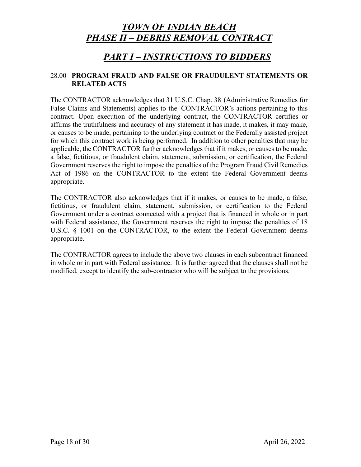## *PART I – INSTRUCTIONS TO BIDDERS*

### 28.00 **PROGRAM FRAUD AND FALSE OR FRAUDULENT STATEMENTS OR RELATED ACTS**

The CONTRACTOR acknowledges that 31 U.S.C. Chap. 38 (Administrative Remedies for False Claims and Statements) applies to the CONTRACTOR's actions pertaining to this contract. Upon execution of the underlying contract, the CONTRACTOR certifies or affirms the truthfulness and accuracy of any statement it has made, it makes, it may make, or causes to be made, pertaining to the underlying contract or the Federally assisted project for which this contract work is being performed. In addition to other penalties that may be applicable, the CONTRACTOR further acknowledges that if it makes, or causes to be made, a false, fictitious, or fraudulent claim, statement, submission, or certification, the Federal Government reserves the right to impose the penalties of the Program Fraud Civil Remedies Act of 1986 on the CONTRACTOR to the extent the Federal Government deems appropriate.

The CONTRACTOR also acknowledges that if it makes, or causes to be made, a false, fictitious, or fraudulent claim, statement, submission, or certification to the Federal Government under a contract connected with a project that is financed in whole or in part with Federal assistance, the Government reserves the right to impose the penalties of 18 U.S.C. § 1001 on the CONTRACTOR, to the extent the Federal Government deems appropriate.

The CONTRACTOR agrees to include the above two clauses in each subcontract financed in whole or in part with Federal assistance. It is further agreed that the clauses shall not be modified, except to identify the sub-contractor who will be subject to the provisions.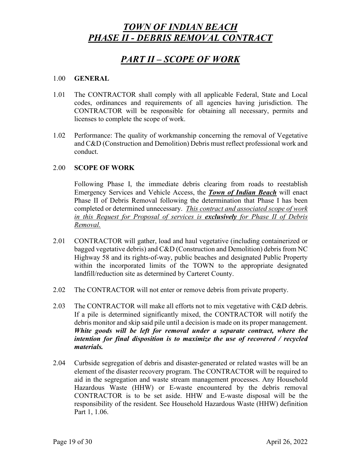# *PART II – SCOPE OF WORK*

#### 1.00 **GENERAL**

- 1.01 The CONTRACTOR shall comply with all applicable Federal, State and Local codes, ordinances and requirements of all agencies having jurisdiction. The CONTRACTOR will be responsible for obtaining all necessary, permits and licenses to complete the scope of work.
- 1.02 Performance: The quality of workmanship concerning the removal of Vegetative and C&D (Construction and Demolition) Debris must reflect professional work and conduct.

#### 2.00 **SCOPE OF WORK**

Following Phase I, the immediate debris clearing from roads to reestablish Emergency Services and Vehicle Access, the *Town of Indian Beach* will enact Phase II of Debris Removal following the determination that Phase I has been completed or determined unnecessary. *This contract and associated scope of work in this Request for Proposal of services is exclusively for Phase II of Debris Removal.*

- 2.01 CONTRACTOR will gather, load and haul vegetative (including containerized or bagged vegetative debris) and C&D (Construction and Demolition) debris from NC Highway 58 and its rights-of-way, public beaches and designated Public Property within the incorporated limits of the TOWN to the appropriate designated landfill/reduction site as determined by Carteret County.
- 2.02 The CONTRACTOR will not enter or remove debris from private property.
- 2.03 The CONTRACTOR will make all efforts not to mix vegetative with C&D debris. If a pile is determined significantly mixed, the CONTRACTOR will notify the debris monitor and skip said pile until a decision is made on its proper management. *White goods will be left for removal under a separate contract, where the intention for final disposition is to maximize the use of recovered / recycled materials.*
- 2.04 Curbside segregation of debris and disaster-generated or related wastes will be an element of the disaster recovery program. The CONTRACTOR will be required to aid in the segregation and waste stream management processes. Any Household Hazardous Waste (HHW) or E-waste encountered by the debris removal CONTRACTOR is to be set aside. HHW and E-waste disposal will be the responsibility of the resident. See Household Hazardous Waste (HHW) definition Part 1, 1.06.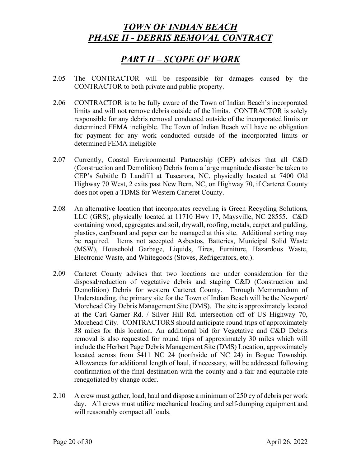# *PART II – SCOPE OF WORK*

- 2.05 The CONTRACTOR will be responsible for damages caused by the CONTRACTOR to both private and public property.
- 2.06 CONTRACTOR is to be fully aware of the Town of Indian Beach's incorporated limits and will not remove debris outside of the limits. CONTRACTOR is solely responsible for any debris removal conducted outside of the incorporated limits or determined FEMA ineligible. The Town of Indian Beach will have no obligation for payment for any work conducted outside of the incorporated limits or determined FEMA ineligible
- 2.07 Currently, Coastal Environmental Partnership (CEP) advises that all C&D (Construction and Demolition) Debris from a large magnitude disaster be taken to CEP's Subtitle D Landfill at Tuscarora, NC, physically located at 7400 Old Highway 70 West, 2 exits past New Bern, NC, on Highway 70, if Carteret County does not open a TDMS for Western Carteret County.
- 2.08 An alternative location that incorporates recycling is Green Recycling Solutions, LLC (GRS), physically located at 11710 Hwy 17, Maysville, NC 28555. C&D containing wood, aggregates and soil, drywall, roofing, metals, carpet and padding, plastics, cardboard and paper can be managed at this site. Additional sorting may be required. Items not accepted Asbestos, Batteries, Municipal Solid Waste (MSW), Household Garbage, Liquids, Tires, Furniture, Hazardous Waste, Electronic Waste, and Whitegoods (Stoves, Refrigerators, etc.).
- 2.09 Carteret County advises that two locations are under consideration for the disposal/reduction of vegetative debris and staging C&D (Construction and Demolition) Debris for western Carteret County. Through Memorandum of Understanding, the primary site for the Town of Indian Beach will be the Newport/ Morehead City Debris Management Site (DMS). The site is approximately located at the Carl Garner Rd. / Silver Hill Rd. intersection off of US Highway 70, Morehead City. CONTRACTORS should anticipate round trips of approximately 38 miles for this location. An additional bid for Vegetative and C&D Debris removal is also requested for round trips of approximately 30 miles which will include the Herbert Page Debris Management Site (DMS) Location, approximately located across from 5411 NC 24 (northside of NC 24) in Bogue Township. Allowances for additional length of haul, if necessary, will be addressed following confirmation of the final destination with the county and a fair and equitable rate renegotiated by change order.
- 2.10 A crew must gather, load, haul and dispose a minimum of 250 cy of debris per work day. All crews must utilize mechanical loading and self-dumping equipment and will reasonably compact all loads.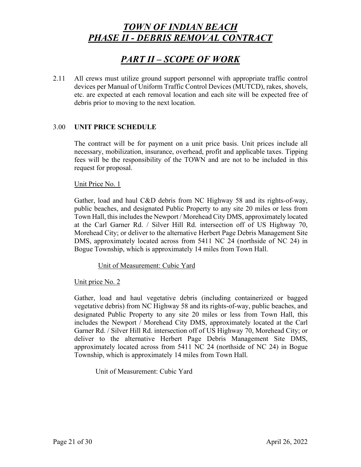# *PART II – SCOPE OF WORK*

2.11 All crews must utilize ground support personnel with appropriate traffic control devices per Manual of Uniform Traffic Control Devices (MUTCD), rakes, shovels, etc. are expected at each removal location and each site will be expected free of debris prior to moving to the next location.

#### 3.00 **UNIT PRICE SCHEDULE**

The contract will be for payment on a unit price basis. Unit prices include all necessary, mobilization, insurance, overhead, profit and applicable taxes. Tipping fees will be the responsibility of the TOWN and are not to be included in this request for proposal.

#### Unit Price No. 1

Gather, load and haul C&D debris from NC Highway 58 and its rights-of-way, public beaches, and designated Public Property to any site 20 miles or less from Town Hall, this includes the Newport / Morehead City DMS, approximately located at the Carl Garner Rd. / Silver Hill Rd. intersection off of US Highway 70, Morehead City; or deliver to the alternative Herbert Page Debris Management Site DMS, approximately located across from 5411 NC 24 (northside of NC 24) in Bogue Township, which is approximately 14 miles from Town Hall.

#### Unit of Measurement: Cubic Yard

#### Unit price No. 2

Gather, load and haul vegetative debris (including containerized or bagged vegetative debris) from NC Highway 58 and its rights-of-way, public beaches, and designated Public Property to any site 20 miles or less from Town Hall, this includes the Newport / Morehead City DMS, approximately located at the Carl Garner Rd. / Silver Hill Rd. intersection off of US Highway 70, Morehead City; or deliver to the alternative Herbert Page Debris Management Site DMS, approximately located across from 5411 NC 24 (northside of NC 24) in Bogue Township, which is approximately 14 miles from Town Hall.

Unit of Measurement: Cubic Yard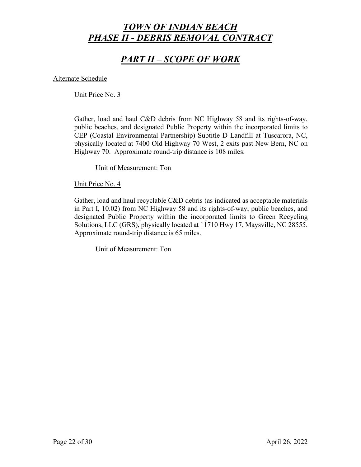# *PART II – SCOPE OF WORK*

Alternate Schedule

Unit Price No. 3

Gather, load and haul C&D debris from NC Highway 58 and its rights-of-way, public beaches, and designated Public Property within the incorporated limits to CEP (Coastal Environmental Partnership) Subtitle D Landfill at Tuscarora, NC, physically located at 7400 Old Highway 70 West, 2 exits past New Bern, NC on Highway 70. Approximate round-trip distance is 108 miles.

Unit of Measurement: Ton

Unit Price No. 4

Gather, load and haul recyclable C&D debris (as indicated as acceptable materials in Part I, 10.02) from NC Highway 58 and its rights-of-way, public beaches, and designated Public Property within the incorporated limits to Green Recycling Solutions, LLC (GRS), physically located at 11710 Hwy 17, Maysville, NC 28555. Approximate round-trip distance is 65 miles.

Unit of Measurement: Ton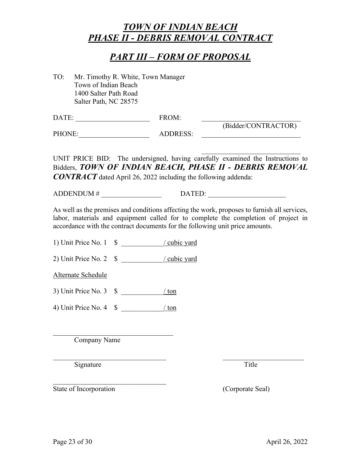# *PART III – FORM OF PROPOSAL*

TO: Mr. Timothy R. White, Town Manager Town of Indian Beach 1400 Salter Path Road Salter Path, NC 28575

| DATE: | FROM: |                     |
|-------|-------|---------------------|
|       |       | (Bidder/CONTRACTOR) |

PHONE: ADDRESS:

 $\mathcal{L}_\mathcal{L}$  , which is a set of the set of the set of the set of the set of the set of the set of the set of the set of the set of the set of the set of the set of the set of the set of the set of the set of the set of UNIT PRICE BID: The undersigned, having carefully examined the Instructions to Bidders, *TOWN OF INDIAN BEACH, PHASE II - DEBRIS REMOVAL* 

*CONTRACT* dated April 26, 2022 including the following addenda:

 $ADDENDUM # \qquad DATED:$ 

As well as the premises and conditions affecting the work, proposes to furnish all services, labor, materials and equipment called for to complete the completion of project in accordance with the contract documents for the following unit price amounts.

 $\_$  , and the set of the set of the set of the set of the set of the set of the set of the set of the set of the set of the set of the set of the set of the set of the set of the set of the set of the set of the set of th

1) Unit Price No. 1  $\quad$   $\frac{\sqrt{cubic \cdot 1}}{2}$ 

2) Unit Price No. 2 \$ \_\_\_\_\_\_\_\_\_\_\_\_/ cubic yard

Alternate Schedule

3) Unit Price No. 3  $\text{\$}$   $\sqrt{\text{ton}}$ 

4) Unit Price No. 4 \$ \_\_\_\_\_\_\_\_\_\_\_\_/ ton

 $\overline{\phantom{a}}$  , and the set of the set of the set of the set of the set of the set of the set of the set of the set of the set of the set of the set of the set of the set of the set of the set of the set of the set of the s

\_\_\_\_\_\_\_\_\_\_\_\_\_\_\_\_\_\_\_\_\_\_\_\_\_\_\_\_\_\_\_\_

Company Name

Signature Title

State of Incorporation (Corporate Seal)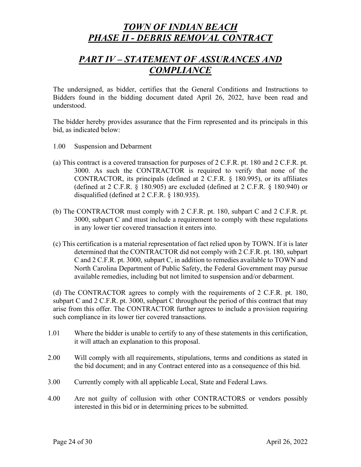# *PART IV – STATEMENT OF ASSURANCES AND COMPLIANCE*

The undersigned, as bidder, certifies that the General Conditions and Instructions to Bidders found in the bidding document dated April 26, 2022, have been read and understood.

The bidder hereby provides assurance that the Firm represented and its principals in this bid, as indicated below:

- 1.00 Suspension and Debarment
- (a) This contract is a covered transaction for purposes of 2 C.F.R. pt. 180 and 2 C.F.R. pt. 3000. As such the CONTRACTOR is required to verify that none of the CONTRACTOR, its principals (defined at 2 C.F.R. § 180.995), or its affiliates (defined at 2 C.F.R. § 180.905) are excluded (defined at 2 C.F.R. § 180.940) or disqualified (defined at 2 C.F.R. § 180.935).
- (b) The CONTRACTOR must comply with 2 C.F.R. pt. 180, subpart C and 2 C.F.R. pt. 3000, subpart C and must include a requirement to comply with these regulations in any lower tier covered transaction it enters into.
- (c) This certification is a material representation of fact relied upon by TOWN. If it is later determined that the CONTRACTOR did not comply with 2 C.F.R. pt. 180, subpart C and 2 C.F.R. pt. 3000, subpart C, in addition to remedies available to TOWN and North Carolina Department of Public Safety, the Federal Government may pursue available remedies, including but not limited to suspension and/or debarment.

(d) The CONTRACTOR agrees to comply with the requirements of 2 C.F.R. pt. 180, subpart C and 2 C.F.R. pt. 3000, subpart C throughout the period of this contract that may arise from this offer. The CONTRACTOR further agrees to include a provision requiring such compliance in its lower tier covered transactions.

- 1.01 Where the bidder is unable to certify to any of these statements in this certification, it will attach an explanation to this proposal.
- 2.00 Will comply with all requirements, stipulations, terms and conditions as stated in the bid document; and in any Contract entered into as a consequence of this bid.
- 3.00 Currently comply with all applicable Local, State and Federal Laws.
- 4.00 Are not guilty of collusion with other CONTRACTORS or vendors possibly interested in this bid or in determining prices to be submitted.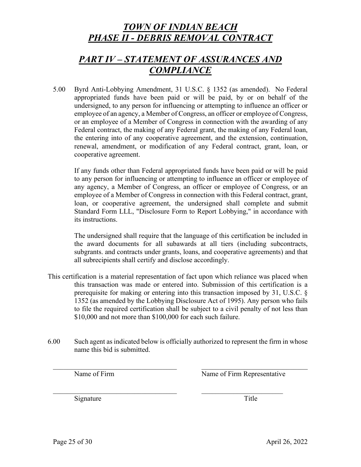# *PART IV – STATEMENT OF ASSURANCES AND COMPLIANCE*

5.00 Byrd Anti-Lobbying Amendment, 31 U.S.C. § 1352 (as amended). No Federal appropriated funds have been paid or will be paid, by or on behalf of the undersigned, to any person for influencing or attempting to influence an officer or employee of an agency, a Member of Congress, an officer or employee of Congress, or an employee of a Member of Congress in connection with the awarding of any Federal contract, the making of any Federal grant, the making of any Federal loan, the entering into of any cooperative agreement, and the extension, continuation, renewal, amendment, or modification of any Federal contract, grant, loan, or cooperative agreement.

If any funds other than Federal appropriated funds have been paid or will be paid to any person for influencing or attempting to influence an officer or employee of any agency, a Member of Congress, an officer or employee of Congress, or an employee of a Member of Congress in connection with this Federal contract, grant, loan, or cooperative agreement, the undersigned shall complete and submit Standard Form LLL, "Disclosure Form to Report Lobbying," in accordance with its instructions.

The undersigned shall require that the language of this certification be included in the award documents for all subawards at all tiers (including subcontracts, subgrants. and contracts under grants, loans, and cooperative agreements) and that all subrecipients shall certify and disclose accordingly.

- This certification is a material representation of fact upon which reliance was placed when this transaction was made or entered into. Submission of this certification is a prerequisite for making or entering into this transaction imposed by 31, U.S.C. § 1352 (as amended by the Lobbying Disclosure Act of 1995). Any person who fails to file the required certification shall be subject to a civil penalty of not less than \$10,000 and not more than \$100,000 for each such failure.
- 6.00 Such agent as indicated below is officially authorized to represent the firm in whose name this bid is submitted.

 $\_$  , and the set of the set of the set of the set of the set of the set of the set of the set of the set of the set of the set of the set of the set of the set of the set of the set of the set of the set of the set of th

Name of Firm Name of Firm Representative

Signature Title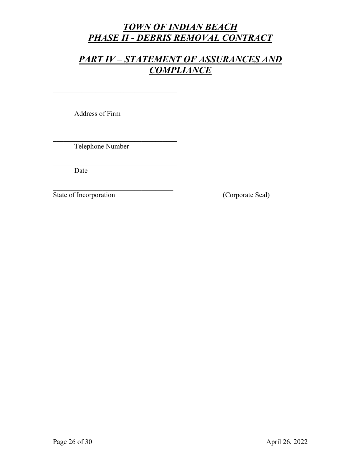# *PART IV – STATEMENT OF ASSURANCES AND COMPLIANCE*

 $\overline{\phantom{a}}$  , and the set of the set of the set of the set of the set of the set of the set of the set of the set of the set of the set of the set of the set of the set of the set of the set of the set of the set of the s Address of Firm

 $\overline{\phantom{a}}$  , and the set of the set of the set of the set of the set of the set of the set of the set of the set of the set of the set of the set of the set of the set of the set of the set of the set of the set of the s

 $\overline{\phantom{a}}$  , and the set of the set of the set of the set of the set of the set of the set of the set of the set of the set of the set of the set of the set of the set of the set of the set of the set of the set of the s Telephone Number

 $\overline{\phantom{a}}$  , and the set of the set of the set of the set of the set of the set of the set of the set of the set of the set of the set of the set of the set of the set of the set of the set of the set of the set of the s

Date

State of Incorporation (Corporate Seal)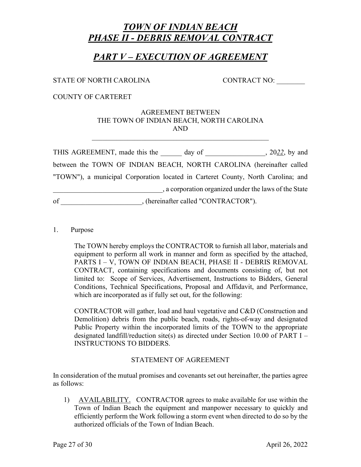## *PART V – EXECUTION OF AGREEMENT*

### STATE OF NORTH CAROLINA CONTRACT NO:

COUNTY OF CARTERET

#### AGREEMENT BETWEEN THE TOWN OF INDIAN BEACH, NORTH CAROLINA AND

| THIS AGREEMENT, made this the                                                    | day of                               | $, 2022,$ by and                                      |
|----------------------------------------------------------------------------------|--------------------------------------|-------------------------------------------------------|
| between the TOWN OF INDIAN BEACH, NORTH CAROLINA (hereinafter called             |                                      |                                                       |
| "TOWN"), a municipal Corporation located in Carteret County, North Carolina; and |                                      |                                                       |
|                                                                                  |                                      | , a corporation organized under the laws of the State |
| of                                                                               | , (hereinafter called "CONTRACTOR"). |                                                       |

#### 1. Purpose

The TOWN hereby employs the CONTRACTOR to furnish all labor, materials and equipment to perform all work in manner and form as specified by the attached, PARTS I – V, TOWN OF INDIAN BEACH, PHASE II - DEBRIS REMOVAL CONTRACT, containing specifications and documents consisting of, but not limited to: Scope of Services, Advertisement, Instructions to Bidders, General Conditions, Technical Specifications, Proposal and Affidavit, and Performance, which are incorporated as if fully set out, for the following:

CONTRACTOR will gather, load and haul vegetative and C&D (Construction and Demolition) debris from the public beach, roads, rights-of-way and designated Public Property within the incorporated limits of the TOWN to the appropriate designated landfill/reduction site(s) as directed under Section 10.00 of PART I – INSTRUCTIONS TO BIDDERS.

### STATEMENT OF AGREEMENT

In consideration of the mutual promises and covenants set out hereinafter, the parties agree as follows:

1) AVAILABILITY. CONTRACTOR agrees to make available for use within the Town of Indian Beach the equipment and manpower necessary to quickly and efficiently perform the Work following a storm event when directed to do so by the authorized officials of the Town of Indian Beach.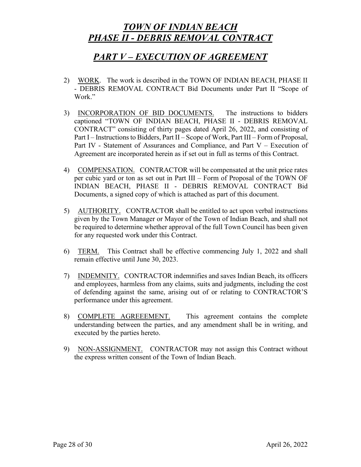## *PART V – EXECUTION OF AGREEMENT*

- 2) WORK. The work is described in the TOWN OF INDIAN BEACH, PHASE II - DEBRIS REMOVAL CONTRACT Bid Documents under Part II "Scope of Work."
- 3) INCORPORATION OF BID DOCUMENTS. The instructions to bidders captioned "TOWN OF INDIAN BEACH, PHASE II - DEBRIS REMOVAL CONTRACT" consisting of thirty pages dated April 26, 2022, and consisting of Part I – Instructions to Bidders, Part II – Scope of Work, Part III – Form of Proposal, Part IV - Statement of Assurances and Compliance, and Part V – Execution of Agreement are incorporated herein as if set out in full as terms of this Contract.
- 4) COMPENSATION. CONTRACTOR will be compensated at the unit price rates per cubic yard or ton as set out in Part III – Form of Proposal of the TOWN OF INDIAN BEACH, PHASE II - DEBRIS REMOVAL CONTRACT Bid Documents, a signed copy of which is attached as part of this document.
- 5) AUTHORITY. CONTRACTOR shall be entitled to act upon verbal instructions given by the Town Manager or Mayor of the Town of Indian Beach, and shall not be required to determine whether approval of the full Town Council has been given for any requested work under this Contract.
- 6) TERM. This Contract shall be effective commencing July 1, 2022 and shall remain effective until June 30, 2023.
- 7) INDEMNITY. CONTRACTOR indemnifies and saves Indian Beach, its officers and employees, harmless from any claims, suits and judgments, including the cost of defending against the same, arising out of or relating to CONTRACTOR'S performance under this agreement.
- 8) COMPLETE AGREEEMENT. This agreement contains the complete understanding between the parties, and any amendment shall be in writing, and executed by the parties hereto.
- 9) NON-ASSIGNMENT. CONTRACTOR may not assign this Contract without the express written consent of the Town of Indian Beach.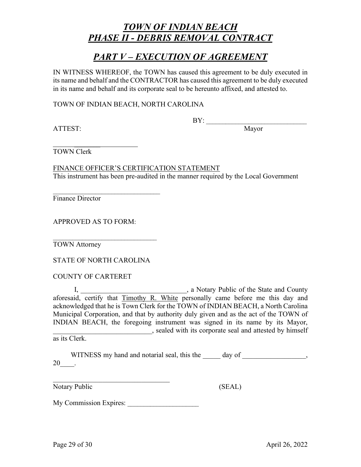### *PART V – EXECUTION OF AGREEMENT*

IN WITNESS WHEREOF, the TOWN has caused this agreement to be duly executed in its name and behalf and the CONTRACTOR has caused this agreement to be duly executed in its name and behalf and its corporate seal to be hereunto affixed, and attested to.

TOWN OF INDIAN BEACH, NORTH CAROLINA

ATTEST: Mayor

 $\text{BY:}\qquad \qquad$ 

 $\overline{\phantom{a}}$ TOWN Clerk

FINANCE OFFICER'S CERTIFICATION STATEMENT This instrument has been pre-audited in the manner required by the Local Government

Finance Director

APPROVED AS TO FORM:

 $\overline{\phantom{a}}$  , where  $\overline{\phantom{a}}$  , where  $\overline{\phantom{a}}$  ,  $\overline{\phantom{a}}$  ,  $\overline{\phantom{a}}$  ,  $\overline{\phantom{a}}$  ,  $\overline{\phantom{a}}$  ,  $\overline{\phantom{a}}$  ,  $\overline{\phantom{a}}$  ,  $\overline{\phantom{a}}$  ,  $\overline{\phantom{a}}$  ,  $\overline{\phantom{a}}$  ,  $\overline{\phantom{a}}$  ,  $\overline{\phantom{a}}$  ,  $\overline{\phantom{a}}$  ,

TOWN Attorney

STATE OF NORTH CAROLINA

\_\_\_\_\_\_\_\_\_\_\_\_\_\_\_\_\_\_\_\_\_\_\_\_\_\_\_\_\_\_\_\_

COUNTY OF CARTERET

I, **\_\_\_\_\_\_\_\_\_\_\_\_\_\_\_\_\_\_\_**, a Notary Public of the State and County aforesaid, certify that Timothy R. White personally came before me this day and acknowledged that he is Town Clerk for the TOWN of INDIAN BEACH, a North Carolina Municipal Corporation, and that by authority duly given and as the act of the TOWN of INDIAN BEACH, the foregoing instrument was signed in its name by its Mayor, \_\_\_\_\_\_\_\_\_\_\_\_\_\_\_\_\_\_\_\_\_\_\_\_\_\_\_\_, sealed with its corporate seal and attested by himself

as its Clerk.

WITNESS my hand and notarial seal, this the day of  $\qquad \qquad$ , 20\_\_\_\_.

Notary Public (SEAL)

My Commission Expires:

\_\_\_\_\_\_\_\_\_\_\_\_\_\_\_\_\_\_\_\_\_\_\_\_\_\_\_\_\_\_\_\_\_